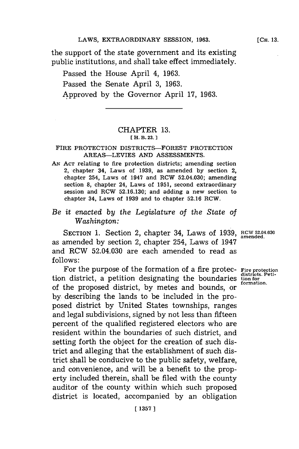the support of the state government and its existing public institutions, and shall take effect immediately.

Passed the House April 4, **1963.** Passed the Senate April **3, 1963.** Approved **by** the Governor April **17, 1963.**

## CHAPTER **13. [ H. B. 23.1**

### FIRE PROTECTION DISTRICTS-FOREST PROTECTION AREAS-LEVIES **AND ASSESSMENTS.**

**AN ACT** relating to fire protection districts; amending section **2, chapter 34, Laws of 1939, as amended by section 2, chapter 254, Laws of 1947 and RCW 52.04.030;** amending section **8,** chapter 24, Laws of **1951,** second extraordinary **session and RCW 52.16.130; and adding a new section to** chapter 34, Laws of **1939** and to chapter **52.16** RCW.

## *Be it enacted by the Legislature of the State of Washington:*

SECTION 1. Section 2, chapter 34, Laws of 1939, RCW 52.04.030 as amended **by** section 2, chapter 254, Laws of 1947 and RCW 52.04.030 are each amended to read as **follows:**

For the purpose of the formation of a fire protec- Fire protection<br>n district, a petition designating the boundaries tion formation. tion district, a petition designating the boundaries of the proposed district, by metes and bounds, or **by.** describing the lands to be included in the proposed district **by** United States townships, ranges and legal subdivisions, signed **by** not less than fifteen percent of the qualified registered electors who are resident within the boundaries of such district, and setting forth the object for the creation of such district and alleging that the establishment of such district shall be conducive to the public safety, welfare, and convenience, and will be a benefit to the property included therein, shall be filed with the county auditor of the county within which such proposed district is located, accompanied **by** an obligation

**[CH. 13.**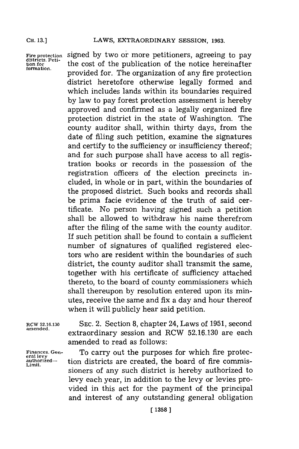**CH. 13,]**

**Fire protection districts. Petition for formation.**

signed **by** two or more petitioners, agreeing to pay the cost of the publication of the notice hereinafter provided for. The organization of any fire protection district heretofore otherwise legally formed and which includes lands within its boundaries required **by** law to pay forest protection assessment is hereby approved and confirmed as a legally organized fire protection district in the state of Washington. The county auditor shall, within thirty days, from the date of filing such petition, examine the signatures and certify to the sufficiency or insufficiency thereof; and for such purpose shall have access to all registration books or records in the possession of the registration officers of the election precincts included, in whole or in part, within the boundaries of the proposed district. Such books and records shall be prima facie evidence of the truth of said certificate. No person having signed such a petition shall be allowed to withdraw his name therefrom after the filing of the same with the county auditor. If such petition shall be found to contain a sufficient number of signatures of qualified registered electors who are resident within the boundaries of such district, the county auditor shall transmit the same, together with his certificate of sufficiency attached thereto, to the board of county commissioners which shall thereupon **by** resolution entered upon its minutes, receive the same and fix a day and hour thereof when it will publicly hear said petition.

**Finances. Gen-eral levy authorized-Limit.**

**RCW 52.16.130 SEC.** 2. Section **8,** chapter 24, Laws of **1951,** second amened. extraordinary session and RCW **52.16.130** are each amended to read as follows:

> To carry out the purposes for which fire protection districts are created, the board of fire commissioners of any such district is hereby authorized to levy each year, in addition to the levy or levies provided in this act for the payment of the principal and interest of any outstanding general obligation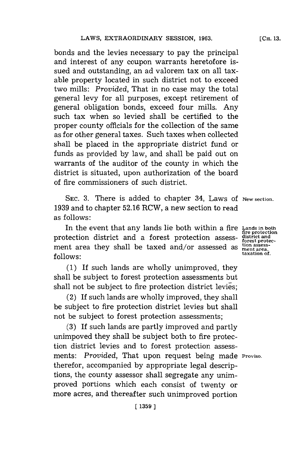bonds and the levies necessary to pay the principal and interest of any coupon warrants heretofore issued and outstanding, an ad valorem tax on all taxable property located in such district not to exceed two mills: *Provided,* That in no case may the total general levy for all purposes, except retirement of general obligation bonds, exceed four mills. Any such tax when so levied shall be certified to the proper county officials **for** the collection of the same as for other general taxes. Such taxes when collected shall be placed in the appropriate district fund or funds as provided **by** law, and shall be paid out on warrants of the auditor of the county in which the district is situated, upon authorization of the board of fire commissioners of such district.

**SEC. 3.** There is added to chapter 34, Laws **Of New section. 1939** and to chapter **52.16** RCW, a new section to read as follows:

In the event that any lands lie both within a fire Lands in both<br>
protection district and a forest protection assess-<br>  $\frac{\text{discrete}}{\text{forest price}}$ **fprocession** district and a forest processor forest prote<br>ment area they shall be taxed and/or assessed as  $\frac{\text{tions}}{\text{heat area}}$ <br>**follows:** follows:

**(1)** If such lands are wholly unimproved, they shall be subject to forest protection assessments but shall not be subject to fire protection district levies;

(2) If such lands are wholly improved, they shall be subject to fire protection district levies but shall not be subject to forest protection assessments;

**(3)** If such lands are partly improved and partly unimpoved they shall be subject both to fire protection district levies and to forest protection assessments: *Provided,* That upon request being made **Proviso.** therefor, accompanied **by** appropriate legal descriptions, the county assessor shall segregate any unimproved portions which each consist of twenty or more acres, and thereafter such unimproved portion

**[CH. 13.**